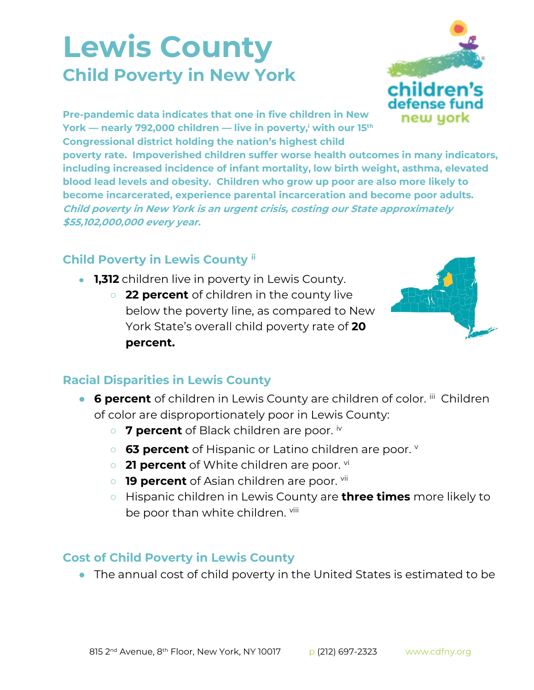## **Lewis County Child Poverty in New York**



**Pre-pandemic data indicates that one in five children in New York — nearly 792,000 children — live in poverty,<sup>i</sup> with our 15th Congressional district holding the nation's highest child** 

**poverty rate. Impoverished children suffer worse health outcomes in many indicators, including increased incidence of infant mortality, low birth weight, asthma, elevated blood lead levels and obesity. Children who grow up poor are also more likely to become incarcerated, experience parental incarceration and become poor adults. Child poverty in New York is an urgent crisis, costing our State approximately \$55,102,000,000 every year.**

## **Child Poverty in Lewis County ii**

- **1,312** children live in poverty in Lewis County.
	- **22 percent** of children in the county live below the poverty line, as compared to New York State's overall child poverty rate of **20 percent.**



## **Racial Disparities in Lewis County**

- **6 percent** of children in Lewis County are children of color. iii Children of color are disproportionately poor in Lewis County:
	- 7 percent of Black children are poor. iv
	- **63 percent** of Hispanic or Latino children are poor.
	- **21 percent** of White children are poor. <sup>vi</sup>
	- **19 percent** of Asian children are poor. <sup>vii</sup>
	- Hispanic children in Lewis County are **three times** more likely to be poor than white children. Viii

## **Cost of Child Poverty in Lewis County**

● The annual cost of child poverty in the United States is estimated to be